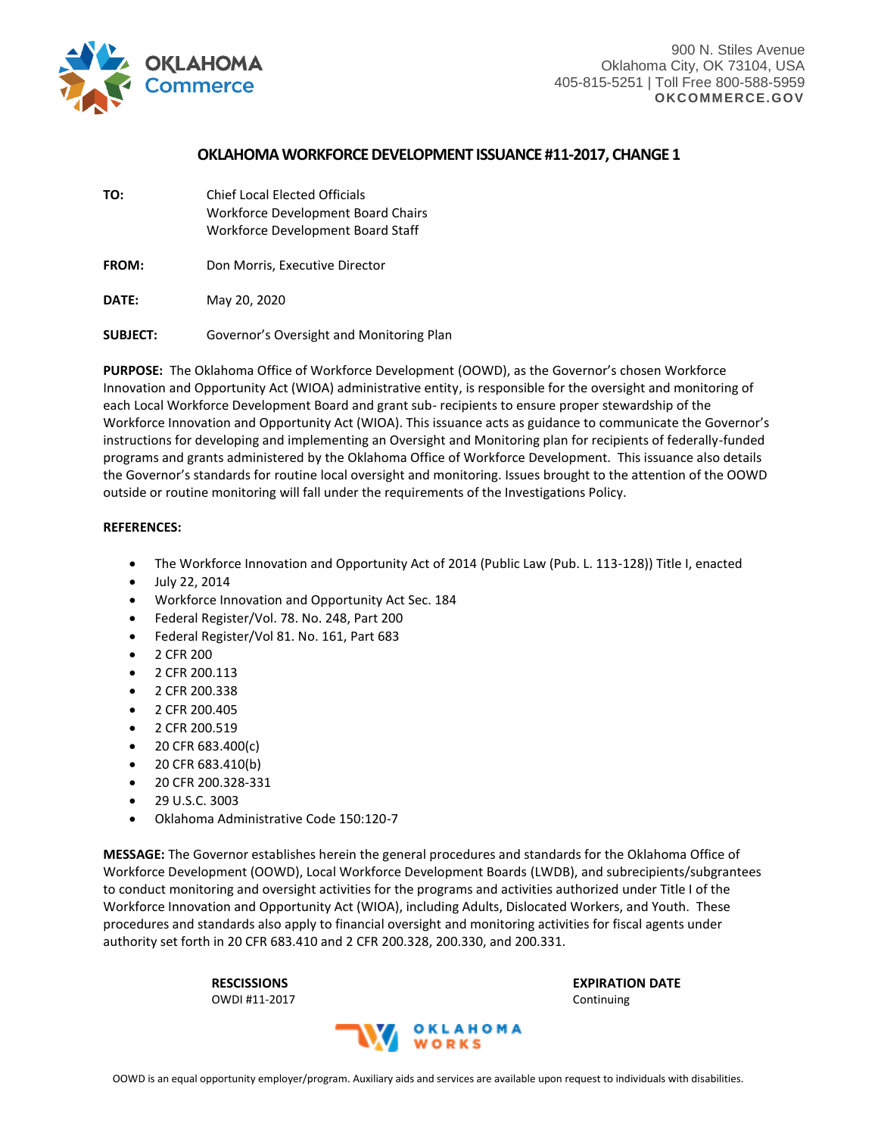

# **OKLAHOMAWORKFORCE DEVELOPMENT ISSUANCE #11-2017, CHANGE 1**

**TO:** Chief Local Elected Officials Workforce Development Board Chairs Workforce Development Board Staff

FROM: Don Morris, Executive Director

**DATE:** May 20, 2020

**SUBJECT:** Governor's Oversight and Monitoring Plan

**PURPOSE:** The Oklahoma Office of Workforce Development (OOWD), as the Governor's chosen Workforce Innovation and Opportunity Act (WIOA) administrative entity, is responsible for the oversight and monitoring of each Local Workforce Development Board and grant sub- recipients to ensure proper stewardship of the Workforce Innovation and Opportunity Act (WIOA). This issuance acts as guidance to communicate the Governor's instructions for developing and implementing an Oversight and Monitoring plan for recipients of federally-funded programs and grants administered by the Oklahoma Office of Workforce Development. This issuance also details the Governor's standards for routine local oversight and monitoring. Issues brought to the attention of the OOWD outside or routine monitoring will fall under the requirements of the Investigations Policy.

## **REFERENCES:**

- The Workforce Innovation and Opportunity Act of 2014 (Public Law (Pub. L. 113-128)) Title I, enacted
- July 22, 2014
- Workforce Innovation and Opportunity Act Sec. 184
- Federal Register/Vol. 78. No. 248, Part 200
- Federal Register/Vol 81. No. 161, Part 683
- 2 CFR 200
- 2 CFR 200.113
- 2 CFR 200.338
- 2 CFR 200.405
- 2 CFR 200.519
- 20 CFR 683.400(c)
- 20 CFR 683.410(b)
- 20 CFR 200.328-331
- $\bullet$  29 U.S.C. 3003
- Oklahoma Administrative Code 150:120-7

**MESSAGE:** The Governor establishes herein the general procedures and standards for the Oklahoma Office of Workforce Development (OOWD), Local Workforce Development Boards (LWDB), and subrecipients/subgrantees to conduct monitoring and oversight activities for the programs and activities authorized under Title I of the Workforce Innovation and Opportunity Act (WIOA), including Adults, Dislocated Workers, and Youth. These procedures and standards also apply to financial oversight and monitoring activities for fiscal agents under authority set forth in 20 CFR 683.410 and 2 CFR 200.328, 200.330, and 200.331.

**RESCISSIONS EXPIRATION DATE** OWDI #11-2017 Continuing

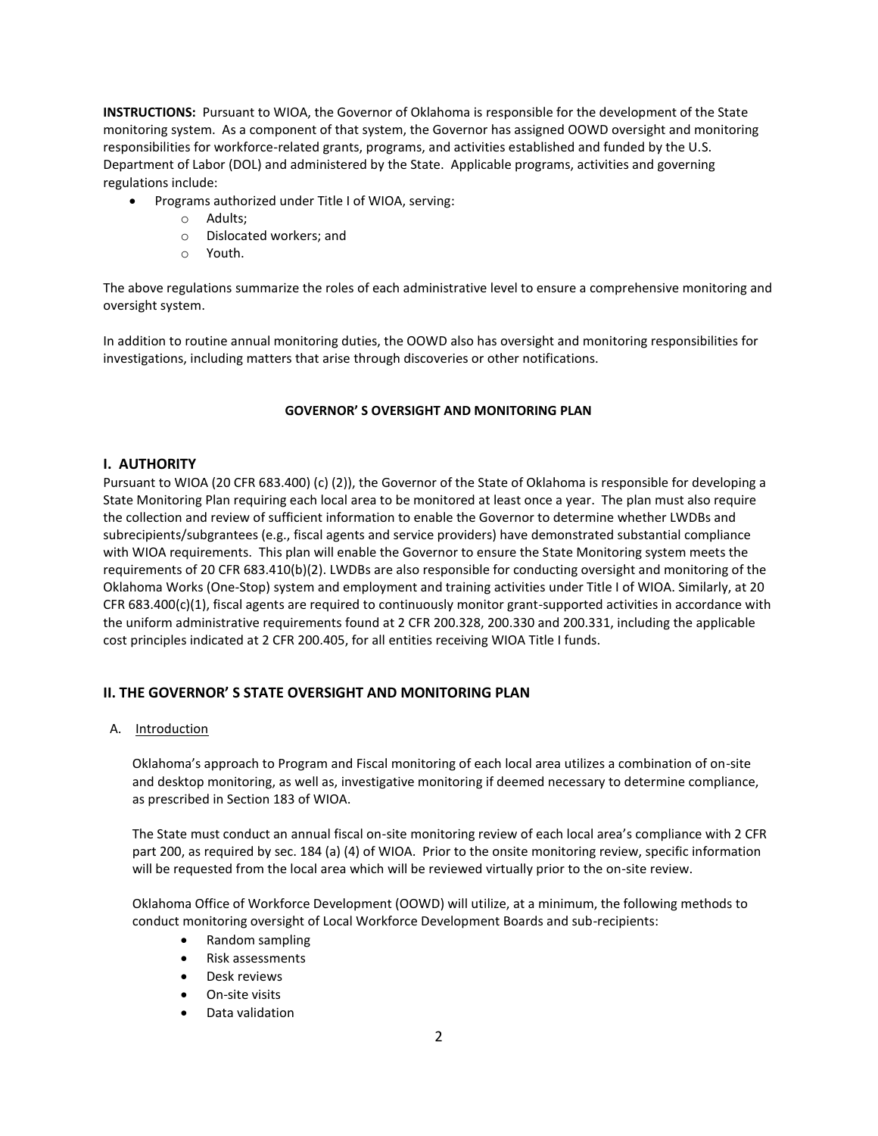**INSTRUCTIONS:** Pursuant to WIOA, the Governor of Oklahoma is responsible for the development of the State monitoring system. As a component of that system, the Governor has assigned OOWD oversight and monitoring responsibilities for workforce-related grants, programs, and activities established and funded by the U.S. Department of Labor (DOL) and administered by the State. Applicable programs, activities and governing regulations include:

- Programs authorized under Title I of WIOA, serving:
	- o Adults;
	- o Dislocated workers; and
	- o Youth.

The above regulations summarize the roles of each administrative level to ensure a comprehensive monitoring and oversight system.

In addition to routine annual monitoring duties, the OOWD also has oversight and monitoring responsibilities for investigations, including matters that arise through discoveries or other notifications.

## **GOVERNOR' S OVERSIGHT AND MONITORING PLAN**

## **I. AUTHORITY**

Pursuant to WIOA (20 CFR 683.400) (c) (2)), the Governor of the State of Oklahoma is responsible for developing a State Monitoring Plan requiring each local area to be monitored at least once a year. The plan must also require the collection and review of sufficient information to enable the Governor to determine whether LWDBs and subrecipients/subgrantees (e.g., fiscal agents and service providers) have demonstrated substantial compliance with WIOA requirements. This plan will enable the Governor to ensure the State Monitoring system meets the requirements of 20 CFR 683.410(b)(2). LWDBs are also responsible for conducting oversight and monitoring of the Oklahoma Works (One-Stop) system and employment and training activities under Title I of WIOA. Similarly, at 20  $CFR 683.400(c)(1)$ , fiscal agents are required to continuously monitor grant-supported activities in accordance with the uniform administrative requirements found at 2 CFR 200.328, 200.330 and 200.331, including the applicable cost principles indicated at 2 CFR 200.405, for all entities receiving WIOA Title I funds.

# **II. THE GOVERNOR' S STATE OVERSIGHT AND MONITORING PLAN**

A. Introduction

Oklahoma's approach to Program and Fiscal monitoring of each local area utilizes a combination of on-site and desktop monitoring, as well as, investigative monitoring if deemed necessary to determine compliance, as prescribed in Section 183 of WIOA.

The State must conduct an annual fiscal on-site monitoring review of each local area's compliance with 2 CFR part 200, as required by sec. 184 (a) (4) of WIOA. Prior to the onsite monitoring review, specific information will be requested from the local area which will be reviewed virtually prior to the on-site review.

Oklahoma Office of Workforce Development (OOWD) will utilize, at a minimum, the following methods to conduct monitoring oversight of Local Workforce Development Boards and sub-recipients:

- Random sampling
- Risk assessments
- Desk reviews
- On-site visits
- Data validation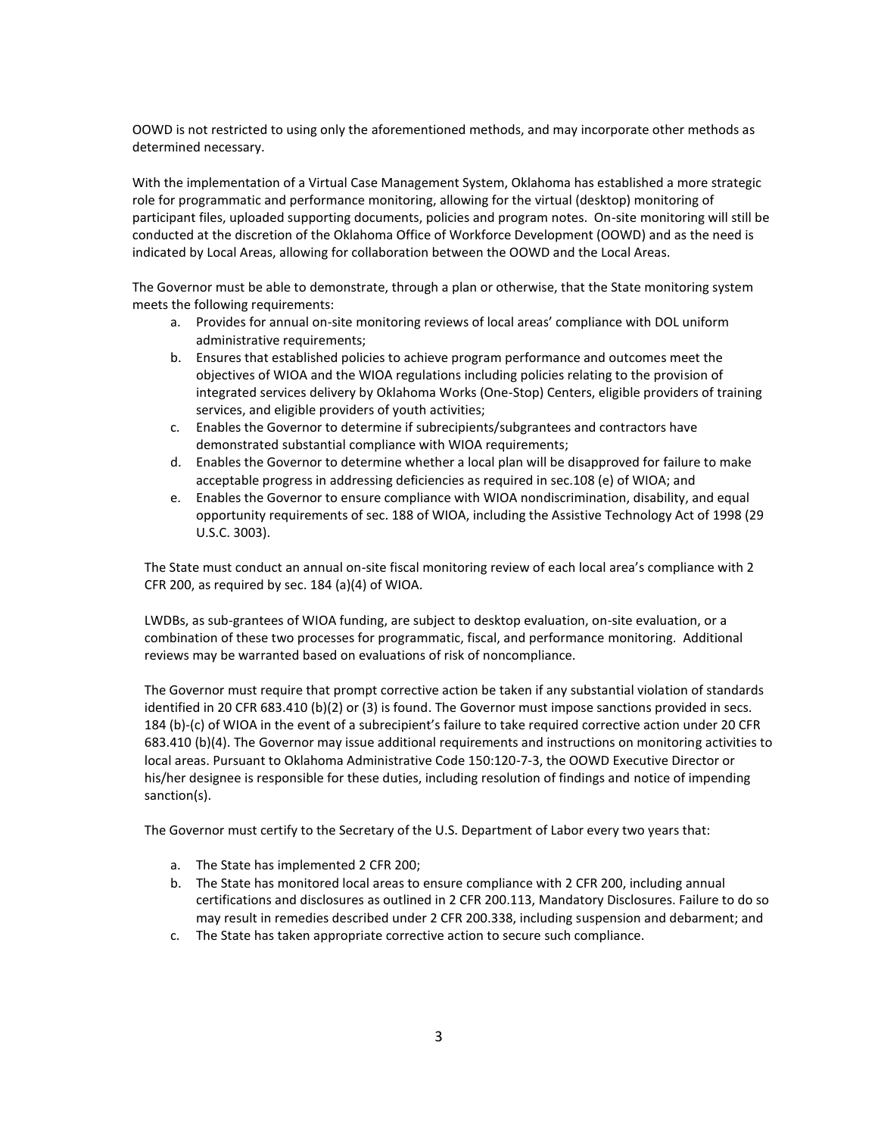OOWD is not restricted to using only the aforementioned methods, and may incorporate other methods as determined necessary.

With the implementation of a Virtual Case Management System, Oklahoma has established a more strategic role for programmatic and performance monitoring, allowing for the virtual (desktop) monitoring of participant files, uploaded supporting documents, policies and program notes. On-site monitoring will still be conducted at the discretion of the Oklahoma Office of Workforce Development (OOWD) and as the need is indicated by Local Areas, allowing for collaboration between the OOWD and the Local Areas.

The Governor must be able to demonstrate, through a plan or otherwise, that the State monitoring system meets the following requirements:

- a. Provides for annual on-site monitoring reviews of local areas' compliance with DOL uniform administrative requirements;
- b. Ensures that established policies to achieve program performance and outcomes meet the objectives of WIOA and the WIOA regulations including policies relating to the provision of integrated services delivery by Oklahoma Works (One-Stop) Centers, eligible providers of training services, and eligible providers of youth activities;
- c. Enables the Governor to determine if subrecipients/subgrantees and contractors have demonstrated substantial compliance with WIOA requirements;
- d. Enables the Governor to determine whether a local plan will be disapproved for failure to make acceptable progress in addressing deficiencies as required in sec.108 (e) of WIOA; and
- e. Enables the Governor to ensure compliance with WIOA nondiscrimination, disability, and equal opportunity requirements of sec. 188 of WIOA, including the Assistive Technology Act of 1998 (29 U.S.C. 3003).

The State must conduct an annual on-site fiscal monitoring review of each local area's compliance with 2 CFR 200, as required by sec. 184 (a)(4) of WIOA.

LWDBs, as sub-grantees of WIOA funding, are subject to desktop evaluation, on-site evaluation, or a combination of these two processes for programmatic, fiscal, and performance monitoring. Additional reviews may be warranted based on evaluations of risk of noncompliance.

The Governor must require that prompt corrective action be taken if any substantial violation of standards identified in 20 CFR 683.410 (b)(2) or (3) is found. The Governor must impose sanctions provided in secs. 184 (b)-(c) of WIOA in the event of a subrecipient's failure to take required corrective action under 20 CFR 683.410 (b)(4). The Governor may issue additional requirements and instructions on monitoring activities to local areas. Pursuant to Oklahoma Administrative Code 150:120-7-3, the OOWD Executive Director or his/her designee is responsible for these duties, including resolution of findings and notice of impending sanction(s).

The Governor must certify to the Secretary of the U.S. Department of Labor every two years that:

- a. The State has implemented 2 CFR 200;
- b. The State has monitored local areas to ensure compliance with 2 CFR 200, including annual certifications and disclosures as outlined in 2 CFR 200.113, Mandatory Disclosures. Failure to do so may result in remedies described under 2 CFR 200.338, including suspension and debarment; and
- c. The State has taken appropriate corrective action to secure such compliance.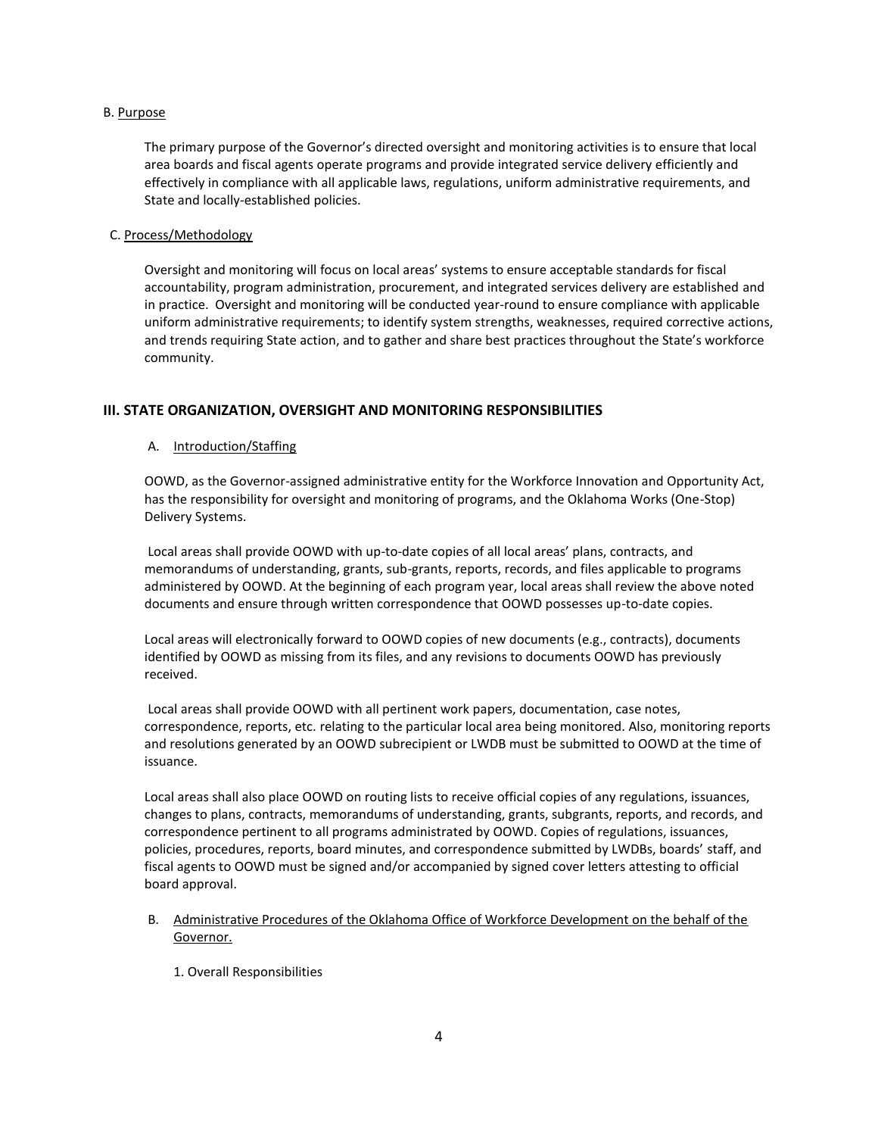### B. Purpose

The primary purpose of the Governor's directed oversight and monitoring activities is to ensure that local area boards and fiscal agents operate programs and provide integrated service delivery efficiently and effectively in compliance with all applicable laws, regulations, uniform administrative requirements, and State and locally-established policies.

### C. Process/Methodology

Oversight and monitoring will focus on local areas' systems to ensure acceptable standards for fiscal accountability, program administration, procurement, and integrated services delivery are established and in practice. Oversight and monitoring will be conducted year-round to ensure compliance with applicable uniform administrative requirements; to identify system strengths, weaknesses, required corrective actions, and trends requiring State action, and to gather and share best practices throughout the State's workforce community.

## **III. STATE ORGANIZATION, OVERSIGHT AND MONITORING RESPONSIBILITIES**

## A. Introduction/Staffing

OOWD, as the Governor-assigned administrative entity for the Workforce Innovation and Opportunity Act, has the responsibility for oversight and monitoring of programs, and the Oklahoma Works (One-Stop) Delivery Systems.

Local areas shall provide OOWD with up-to-date copies of all local areas' plans, contracts, and memorandums of understanding, grants, sub-grants, reports, records, and files applicable to programs administered by OOWD. At the beginning of each program year, local areas shall review the above noted documents and ensure through written correspondence that OOWD possesses up-to-date copies.

Local areas will electronically forward to OOWD copies of new documents (e.g., contracts), documents identified by OOWD as missing from its files, and any revisions to documents OOWD has previously received.

Local areas shall provide OOWD with all pertinent work papers, documentation, case notes, correspondence, reports, etc. relating to the particular local area being monitored. Also, monitoring reports and resolutions generated by an OOWD subrecipient or LWDB must be submitted to OOWD at the time of issuance.

Local areas shall also place OOWD on routing lists to receive official copies of any regulations, issuances, changes to plans, contracts, memorandums of understanding, grants, subgrants, reports, and records, and correspondence pertinent to all programs administrated by OOWD. Copies of regulations, issuances, policies, procedures, reports, board minutes, and correspondence submitted by LWDBs, boards' staff, and fiscal agents to OOWD must be signed and/or accompanied by signed cover letters attesting to official board approval.

# B. Administrative Procedures of the Oklahoma Office of Workforce Development on the behalf of the Governor.

1. Overall Responsibilities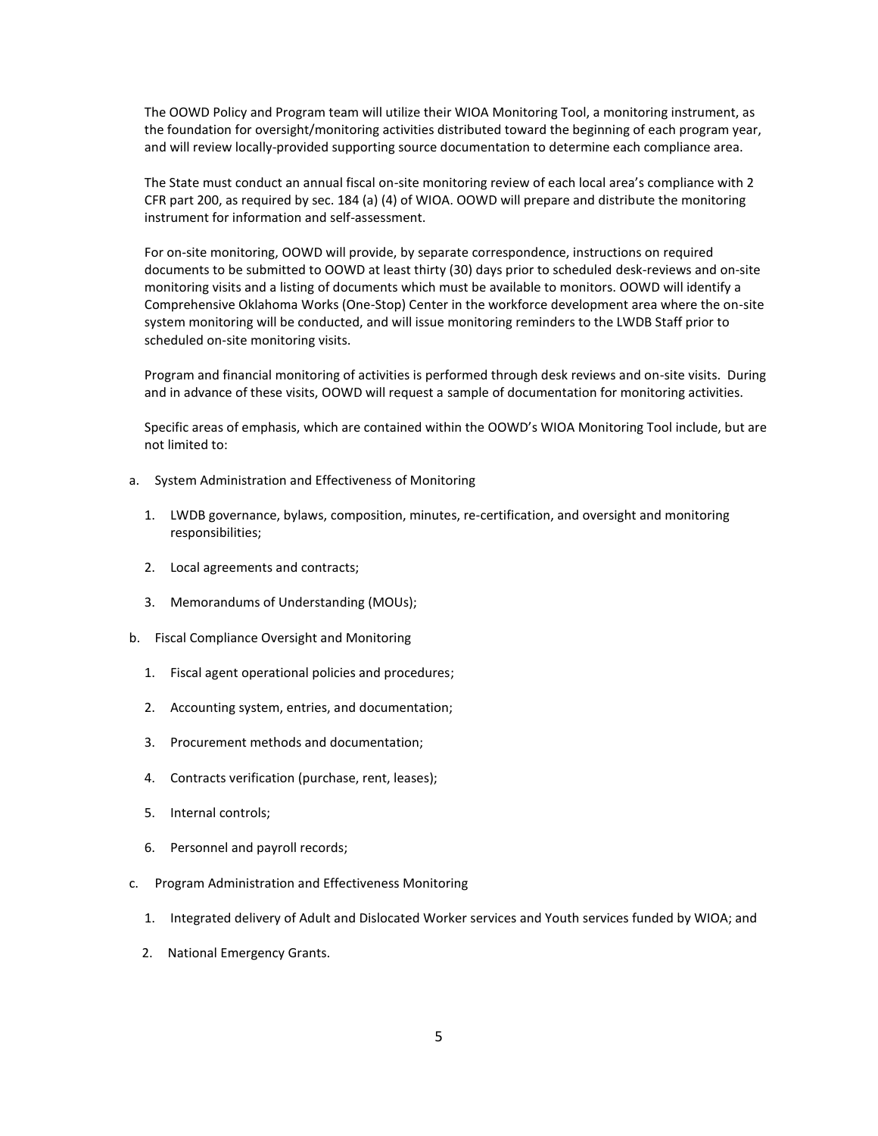The OOWD Policy and Program team will utilize their WIOA Monitoring Tool, a monitoring instrument, as the foundation for oversight/monitoring activities distributed toward the beginning of each program year, and will review locally-provided supporting source documentation to determine each compliance area.

The State must conduct an annual fiscal on-site monitoring review of each local area's compliance with 2 CFR part 200, as required by sec. 184 (a) (4) of WIOA. OOWD will prepare and distribute the monitoring instrument for information and self-assessment.

For on-site monitoring, OOWD will provide, by separate correspondence, instructions on required documents to be submitted to OOWD at least thirty (30) days prior to scheduled desk-reviews and on-site monitoring visits and a listing of documents which must be available to monitors. OOWD will identify a Comprehensive Oklahoma Works (One-Stop) Center in the workforce development area where the on-site system monitoring will be conducted, and will issue monitoring reminders to the LWDB Staff prior to scheduled on-site monitoring visits.

Program and financial monitoring of activities is performed through desk reviews and on-site visits. During and in advance of these visits, OOWD will request a sample of documentation for monitoring activities.

Specific areas of emphasis, which are contained within the OOWD's WIOA Monitoring Tool include, but are not limited to:

- a. System Administration and Effectiveness of Monitoring
	- 1. LWDB governance, bylaws, composition, minutes, re-certification, and oversight and monitoring responsibilities;
	- 2. Local agreements and contracts;
	- 3. Memorandums of Understanding (MOUs);
- b. Fiscal Compliance Oversight and Monitoring
	- 1. Fiscal agent operational policies and procedures;
	- 2. Accounting system, entries, and documentation;
	- 3. Procurement methods and documentation;
	- 4. Contracts verification (purchase, rent, leases);
	- 5. Internal controls;
	- 6. Personnel and payroll records;
- c. Program Administration and Effectiveness Monitoring
	- 1. Integrated delivery of Adult and Dislocated Worker services and Youth services funded by WIOA; and
	- 2. National Emergency Grants.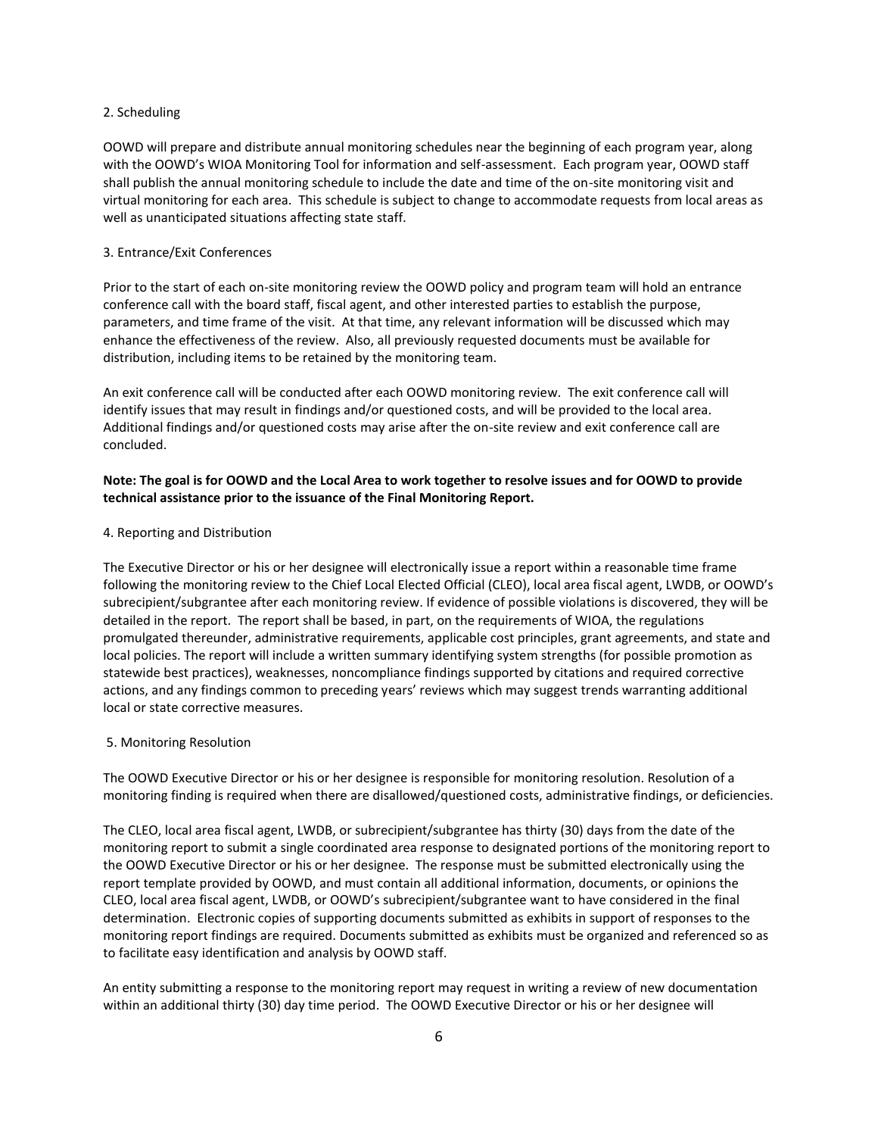### 2. Scheduling

OOWD will prepare and distribute annual monitoring schedules near the beginning of each program year, along with the OOWD's WIOA Monitoring Tool for information and self-assessment. Each program year, OOWD staff shall publish the annual monitoring schedule to include the date and time of the on-site monitoring visit and virtual monitoring for each area. This schedule is subject to change to accommodate requests from local areas as well as unanticipated situations affecting state staff.

### 3. Entrance/Exit Conferences

Prior to the start of each on-site monitoring review the OOWD policy and program team will hold an entrance conference call with the board staff, fiscal agent, and other interested parties to establish the purpose, parameters, and time frame of the visit. At that time, any relevant information will be discussed which may enhance the effectiveness of the review. Also, all previously requested documents must be available for distribution, including items to be retained by the monitoring team.

An exit conference call will be conducted after each OOWD monitoring review. The exit conference call will identify issues that may result in findings and/or questioned costs, and will be provided to the local area. Additional findings and/or questioned costs may arise after the on-site review and exit conference call are concluded.

## **Note: The goal is for OOWD and the Local Area to work together to resolve issues and for OOWD to provide technical assistance prior to the issuance of the Final Monitoring Report.**

#### 4. Reporting and Distribution

The Executive Director or his or her designee will electronically issue a report within a reasonable time frame following the monitoring review to the Chief Local Elected Official (CLEO), local area fiscal agent, LWDB, or OOWD's subrecipient/subgrantee after each monitoring review. If evidence of possible violations is discovered, they will be detailed in the report. The report shall be based, in part, on the requirements of WIOA, the regulations promulgated thereunder, administrative requirements, applicable cost principles, grant agreements, and state and local policies. The report will include a written summary identifying system strengths (for possible promotion as statewide best practices), weaknesses, noncompliance findings supported by citations and required corrective actions, and any findings common to preceding years' reviews which may suggest trends warranting additional local or state corrective measures.

#### 5. Monitoring Resolution

The OOWD Executive Director or his or her designee is responsible for monitoring resolution. Resolution of a monitoring finding is required when there are disallowed/questioned costs, administrative findings, or deficiencies.

The CLEO, local area fiscal agent, LWDB, or subrecipient/subgrantee has thirty (30) days from the date of the monitoring report to submit a single coordinated area response to designated portions of the monitoring report to the OOWD Executive Director or his or her designee. The response must be submitted electronically using the report template provided by OOWD, and must contain all additional information, documents, or opinions the CLEO, local area fiscal agent, LWDB, or OOWD's subrecipient/subgrantee want to have considered in the final determination. Electronic copies of supporting documents submitted as exhibits in support of responses to the monitoring report findings are required. Documents submitted as exhibits must be organized and referenced so as to facilitate easy identification and analysis by OOWD staff.

An entity submitting a response to the monitoring report may request in writing a review of new documentation within an additional thirty (30) day time period. The OOWD Executive Director or his or her designee will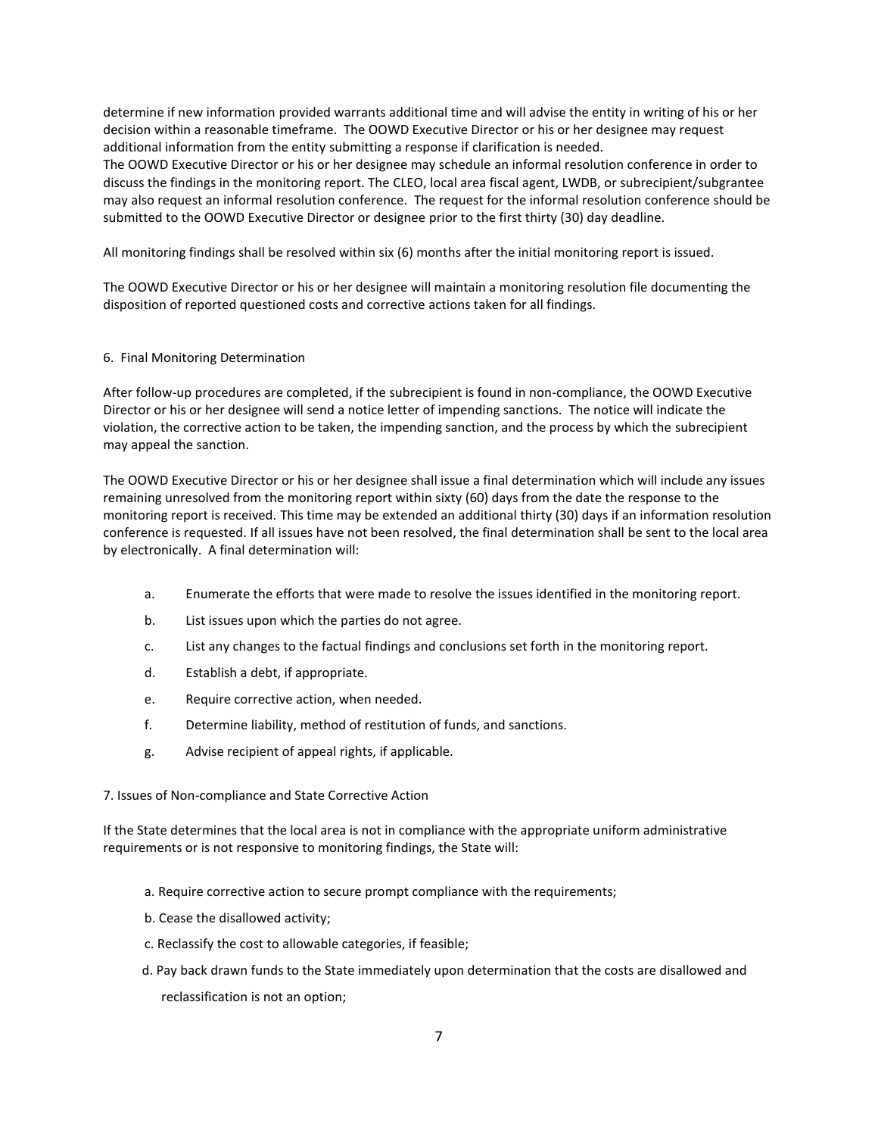determine if new information provided warrants additional time and will advise the entity in writing of his or her decision within a reasonable timeframe. The OOWD Executive Director or his or her designee may request additional information from the entity submitting a response if clarification is needed.

The OOWD Executive Director or his or her designee may schedule an informal resolution conference in order to discuss the findings in the monitoring report. The CLEO, local area fiscal agent, LWDB, or subrecipient/subgrantee may also request an informal resolution conference. The request for the informal resolution conference should be submitted to the OOWD Executive Director or designee prior to the first thirty (30) day deadline.

All monitoring findings shall be resolved within six (6) months after the initial monitoring report is issued.

The OOWD Executive Director or his or her designee will maintain a monitoring resolution file documenting the disposition of reported questioned costs and corrective actions taken for all findings.

## 6. Final Monitoring Determination

After follow-up procedures are completed, if the subrecipient is found in non-compliance, the OOWD Executive Director or his or her designee will send a notice letter of impending sanctions. The notice will indicate the violation, the corrective action to be taken, the impending sanction, and the process by which the subrecipient may appeal the sanction.

The OOWD Executive Director or his or her designee shall issue a final determination which will include any issues remaining unresolved from the monitoring report within sixty (60) days from the date the response to the monitoring report is received. This time may be extended an additional thirty (30) days if an information resolution conference is requested. If all issues have not been resolved, the final determination shall be sent to the local area by electronically. A final determination will:

- a. Enumerate the efforts that were made to resolve the issues identified in the monitoring report.
- b. List issues upon which the parties do not agree.
- c. List any changes to the factual findings and conclusions set forth in the monitoring report.
- d. Establish a debt, if appropriate.
- e. Require corrective action, when needed.
- f. Determine liability, method of restitution of funds, and sanctions.
- g. Advise recipient of appeal rights, if applicable.

7. Issues of Non-compliance and State Corrective Action

If the State determines that the local area is not in compliance with the appropriate uniform administrative requirements or is not responsive to monitoring findings, the State will:

- a. Require corrective action to secure prompt compliance with the requirements;
- b. Cease the disallowed activity;
- c. Reclassify the cost to allowable categories, if feasible;
- d. Pay back drawn funds to the State immediately upon determination that the costs are disallowed and reclassification is not an option;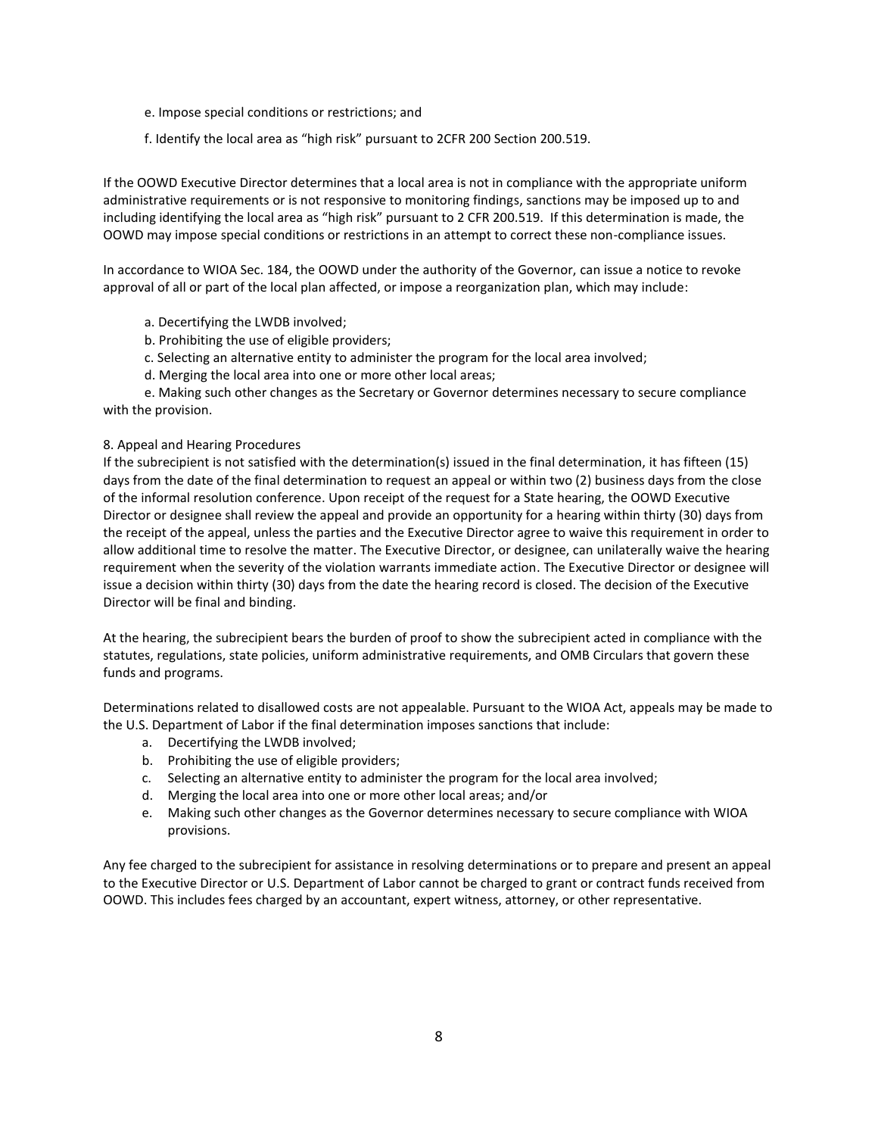- e. Impose special conditions or restrictions; and
- f. Identify the local area as "high risk" pursuant to 2CFR 200 Section 200.519.

If the OOWD Executive Director determines that a local area is not in compliance with the appropriate uniform administrative requirements or is not responsive to monitoring findings, sanctions may be imposed up to and including identifying the local area as "high risk" pursuant to 2 CFR 200.519. If this determination is made, the OOWD may impose special conditions or restrictions in an attempt to correct these non-compliance issues.

In accordance to WIOA Sec. 184, the OOWD under the authority of the Governor, can issue a notice to revoke approval of all or part of the local plan affected, or impose a reorganization plan, which may include:

- a. Decertifying the LWDB involved;
- b. Prohibiting the use of eligible providers;
- c. Selecting an alternative entity to administer the program for the local area involved;
- d. Merging the local area into one or more other local areas;

e. Making such other changes as the Secretary or Governor determines necessary to secure compliance with the provision.

## 8. Appeal and Hearing Procedures

If the subrecipient is not satisfied with the determination(s) issued in the final determination, it has fifteen (15) days from the date of the final determination to request an appeal or within two (2) business days from the close of the informal resolution conference. Upon receipt of the request for a State hearing, the OOWD Executive Director or designee shall review the appeal and provide an opportunity for a hearing within thirty (30) days from the receipt of the appeal, unless the parties and the Executive Director agree to waive this requirement in order to allow additional time to resolve the matter. The Executive Director, or designee, can unilaterally waive the hearing requirement when the severity of the violation warrants immediate action. The Executive Director or designee will issue a decision within thirty (30) days from the date the hearing record is closed. The decision of the Executive Director will be final and binding.

At the hearing, the subrecipient bears the burden of proof to show the subrecipient acted in compliance with the statutes, regulations, state policies, uniform administrative requirements, and OMB Circulars that govern these funds and programs.

Determinations related to disallowed costs are not appealable. Pursuant to the WIOA Act, appeals may be made to the U.S. Department of Labor if the final determination imposes sanctions that include:

- a. Decertifying the LWDB involved;
- b. Prohibiting the use of eligible providers;
- c. Selecting an alternative entity to administer the program for the local area involved;
- d. Merging the local area into one or more other local areas; and/or
- e. Making such other changes as the Governor determines necessary to secure compliance with WIOA provisions.

Any fee charged to the subrecipient for assistance in resolving determinations or to prepare and present an appeal to the Executive Director or U.S. Department of Labor cannot be charged to grant or contract funds received from OOWD. This includes fees charged by an accountant, expert witness, attorney, or other representative.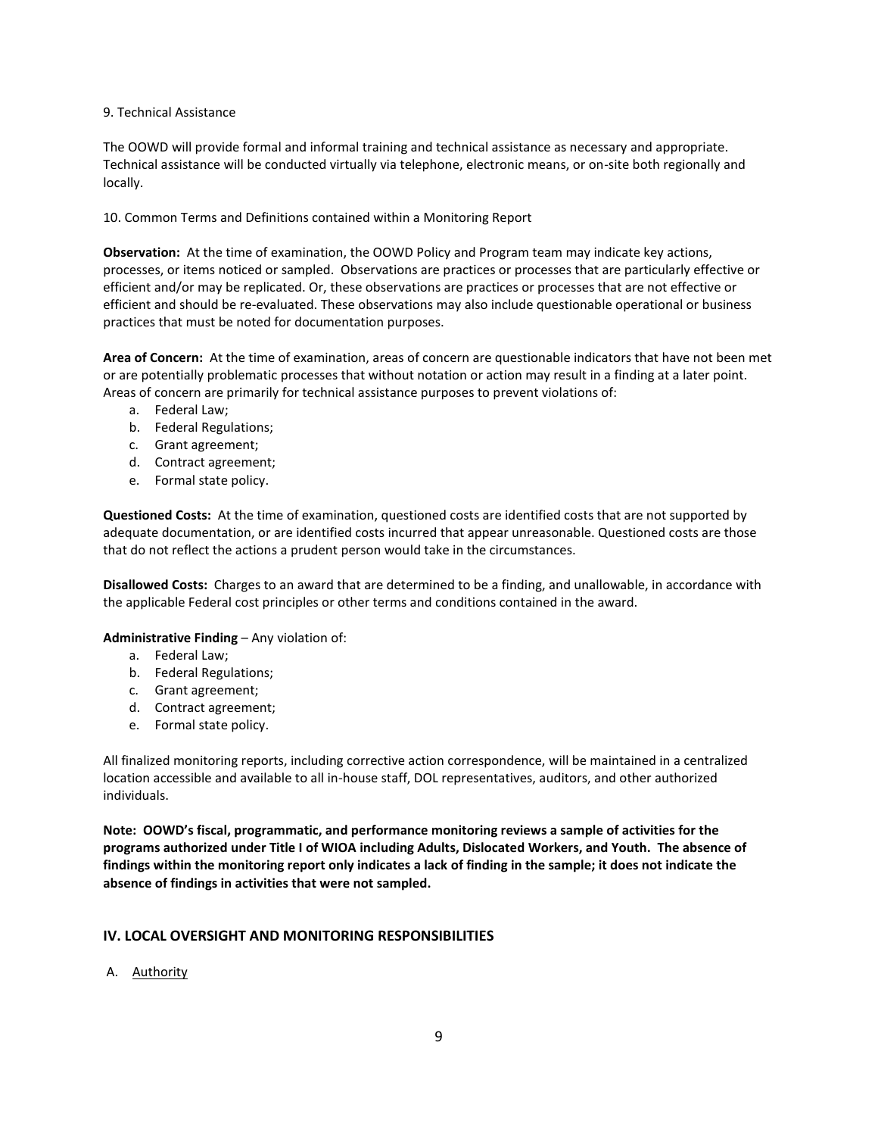## 9. Technical Assistance

The OOWD will provide formal and informal training and technical assistance as necessary and appropriate. Technical assistance will be conducted virtually via telephone, electronic means, or on-site both regionally and locally.

10. Common Terms and Definitions contained within a Monitoring Report

**Observation:** At the time of examination, the OOWD Policy and Program team may indicate key actions, processes, or items noticed or sampled. Observations are practices or processes that are particularly effective or efficient and/or may be replicated. Or, these observations are practices or processes that are not effective or efficient and should be re-evaluated. These observations may also include questionable operational or business practices that must be noted for documentation purposes.

**Area of Concern:** At the time of examination, areas of concern are questionable indicators that have not been met or are potentially problematic processes that without notation or action may result in a finding at a later point. Areas of concern are primarily for technical assistance purposes to prevent violations of:

- a. Federal Law;
- b. Federal Regulations;
- c. Grant agreement;
- d. Contract agreement;
- e. Formal state policy.

**Questioned Costs:** At the time of examination, questioned costs are identified costs that are not supported by adequate documentation, or are identified costs incurred that appear unreasonable. Questioned costs are those that do not reflect the actions a prudent person would take in the circumstances.

**Disallowed Costs:** Charges to an award that are determined to be a finding, and unallowable, in accordance with the applicable Federal cost principles or other terms and conditions contained in the award.

# **Administrative Finding** – Any violation of:

- a. Federal Law;
- b. Federal Regulations;
- c. Grant agreement;
- d. Contract agreement;
- e. Formal state policy.

All finalized monitoring reports, including corrective action correspondence, will be maintained in a centralized location accessible and available to all in-house staff, DOL representatives, auditors, and other authorized individuals.

**Note: OOWD's fiscal, programmatic, and performance monitoring reviews a sample of activities for the programs authorized under Title I of WIOA including Adults, Dislocated Workers, and Youth. The absence of findings within the monitoring report only indicates a lack of finding in the sample; it does not indicate the absence of findings in activities that were not sampled.** 

# **IV. LOCAL OVERSIGHT AND MONITORING RESPONSIBILITIES**

A. Authority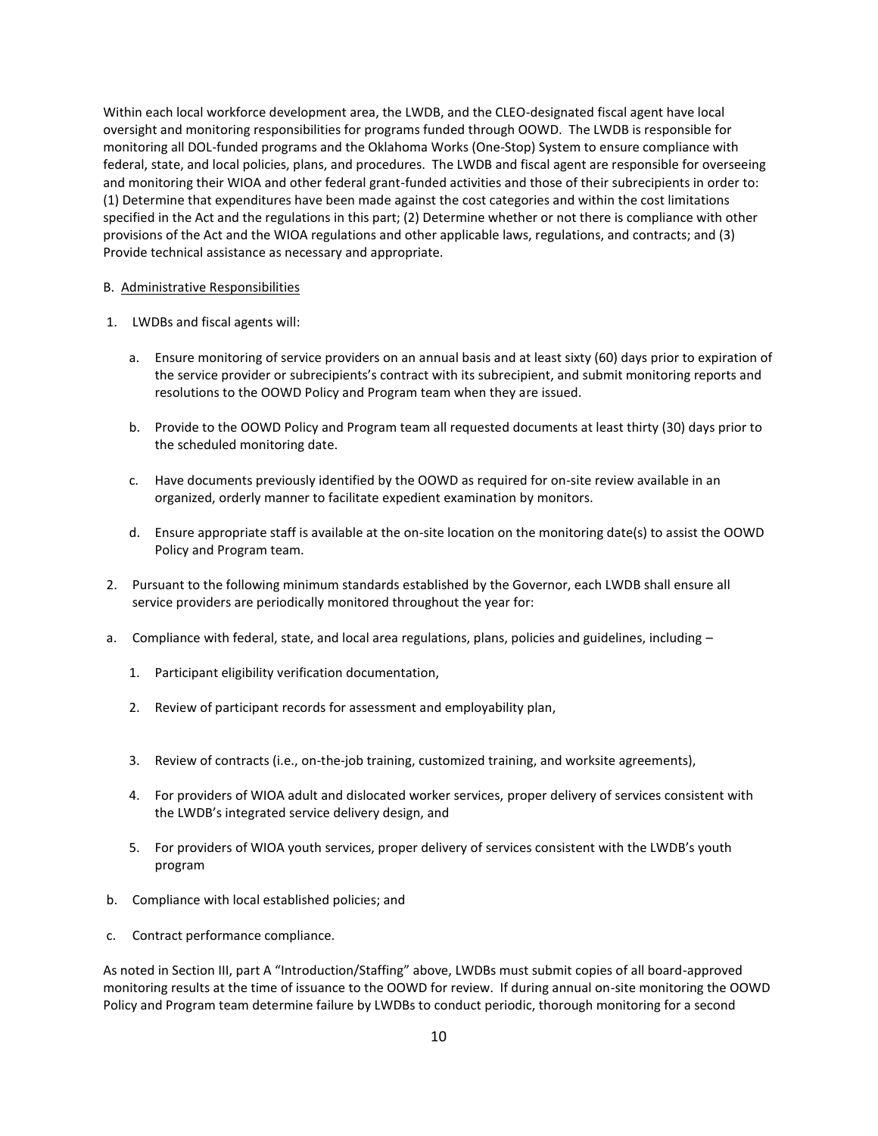Within each local workforce development area, the LWDB, and the CLEO-designated fiscal agent have local oversight and monitoring responsibilities for programs funded through OOWD. The LWDB is responsible for monitoring all DOL-funded programs and the Oklahoma Works (One-Stop) System to ensure compliance with federal, state, and local policies, plans, and procedures. The LWDB and fiscal agent are responsible for overseeing and monitoring their WIOA and other federal grant-funded activities and those of their subrecipients in order to: (1) Determine that expenditures have been made against the cost categories and within the cost limitations specified in the Act and the regulations in this part; (2) Determine whether or not there is compliance with other provisions of the Act and the WIOA regulations and other applicable laws, regulations, and contracts; and (3) Provide technical assistance as necessary and appropriate.

### B. Administrative Responsibilities

- 1. LWDBs and fiscal agents will:
	- a. Ensure monitoring of service providers on an annual basis and at least sixty (60) days prior to expiration of the service provider or subrecipients's contract with its subrecipient, and submit monitoring reports and resolutions to the OOWD Policy and Program team when they are issued.
	- b. Provide to the OOWD Policy and Program team all requested documents at least thirty (30) days prior to the scheduled monitoring date.
	- c. Have documents previously identified by the OOWD as required for on-site review available in an organized, orderly manner to facilitate expedient examination by monitors.
	- d. Ensure appropriate staff is available at the on-site location on the monitoring date(s) to assist the OOWD Policy and Program team.
- 2. Pursuant to the following minimum standards established by the Governor, each LWDB shall ensure all service providers are periodically monitored throughout the year for:
- a. Compliance with federal, state, and local area regulations, plans, policies and guidelines, including -
	- 1. Participant eligibility verification documentation,
	- 2. Review of participant records for assessment and employability plan,
	- 3. Review of contracts (i.e., on-the-job training, customized training, and worksite agreements),
	- 4. For providers of WIOA adult and dislocated worker services, proper delivery of services consistent with the LWDB's integrated service delivery design, and
	- 5. For providers of WIOA youth services, proper delivery of services consistent with the LWDB's youth program
- b. Compliance with local established policies; and
- c. Contract performance compliance.

As noted in Section III, part A "Introduction/Staffing" above, LWDBs must submit copies of all board-approved monitoring results at the time of issuance to the OOWD for review. If during annual on-site monitoring the OOWD Policy and Program team determine failure by LWDBs to conduct periodic, thorough monitoring for a second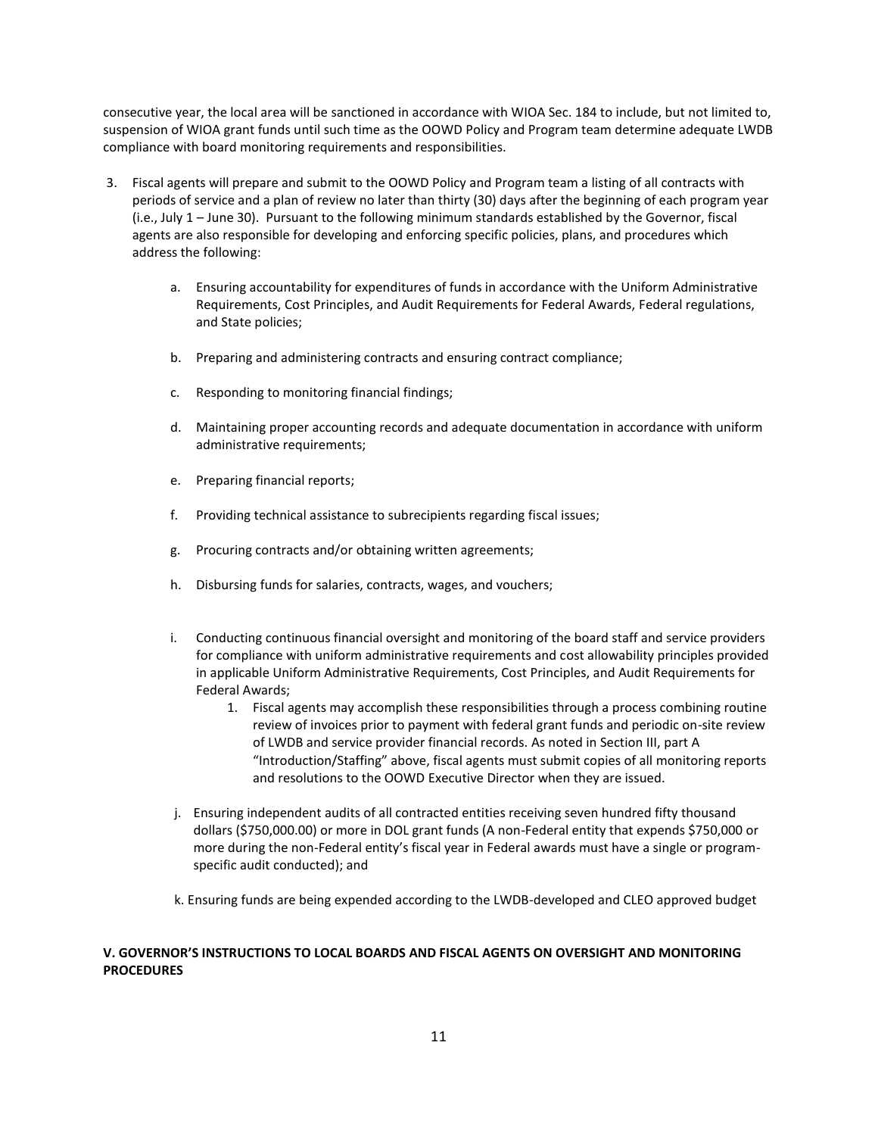consecutive year, the local area will be sanctioned in accordance with WIOA Sec. 184 to include, but not limited to, suspension of WIOA grant funds until such time as the OOWD Policy and Program team determine adequate LWDB compliance with board monitoring requirements and responsibilities.

- 3. Fiscal agents will prepare and submit to the OOWD Policy and Program team a listing of all contracts with periods of service and a plan of review no later than thirty (30) days after the beginning of each program year (i.e., July 1 – June 30). Pursuant to the following minimum standards established by the Governor, fiscal agents are also responsible for developing and enforcing specific policies, plans, and procedures which address the following:
	- a. Ensuring accountability for expenditures of funds in accordance with the Uniform Administrative Requirements, Cost Principles, and Audit Requirements for Federal Awards, Federal regulations, and State policies;
	- b. Preparing and administering contracts and ensuring contract compliance;
	- c. Responding to monitoring financial findings;
	- d. Maintaining proper accounting records and adequate documentation in accordance with uniform administrative requirements;
	- e. Preparing financial reports;
	- f. Providing technical assistance to subrecipients regarding fiscal issues;
	- g. Procuring contracts and/or obtaining written agreements;
	- h. Disbursing funds for salaries, contracts, wages, and vouchers;
	- i. Conducting continuous financial oversight and monitoring of the board staff and service providers for compliance with uniform administrative requirements and cost allowability principles provided in applicable Uniform Administrative Requirements, Cost Principles, and Audit Requirements for Federal Awards;
		- 1. Fiscal agents may accomplish these responsibilities through a process combining routine review of invoices prior to payment with federal grant funds and periodic on-site review of LWDB and service provider financial records. As noted in Section III, part A "Introduction/Staffing" above, fiscal agents must submit copies of all monitoring reports and resolutions to the OOWD Executive Director when they are issued.
	- j. Ensuring independent audits of all contracted entities receiving seven hundred fifty thousand dollars (\$750,000.00) or more in DOL grant funds (A non-Federal entity that expends \$750,000 or more during the non-Federal entity's fiscal year in Federal awards must have a single or programspecific audit conducted); and
	- k. Ensuring funds are being expended according to the LWDB-developed and CLEO approved budget

# **V. GOVERNOR'S INSTRUCTIONS TO LOCAL BOARDS AND FISCAL AGENTS ON OVERSIGHT AND MONITORING PROCEDURES**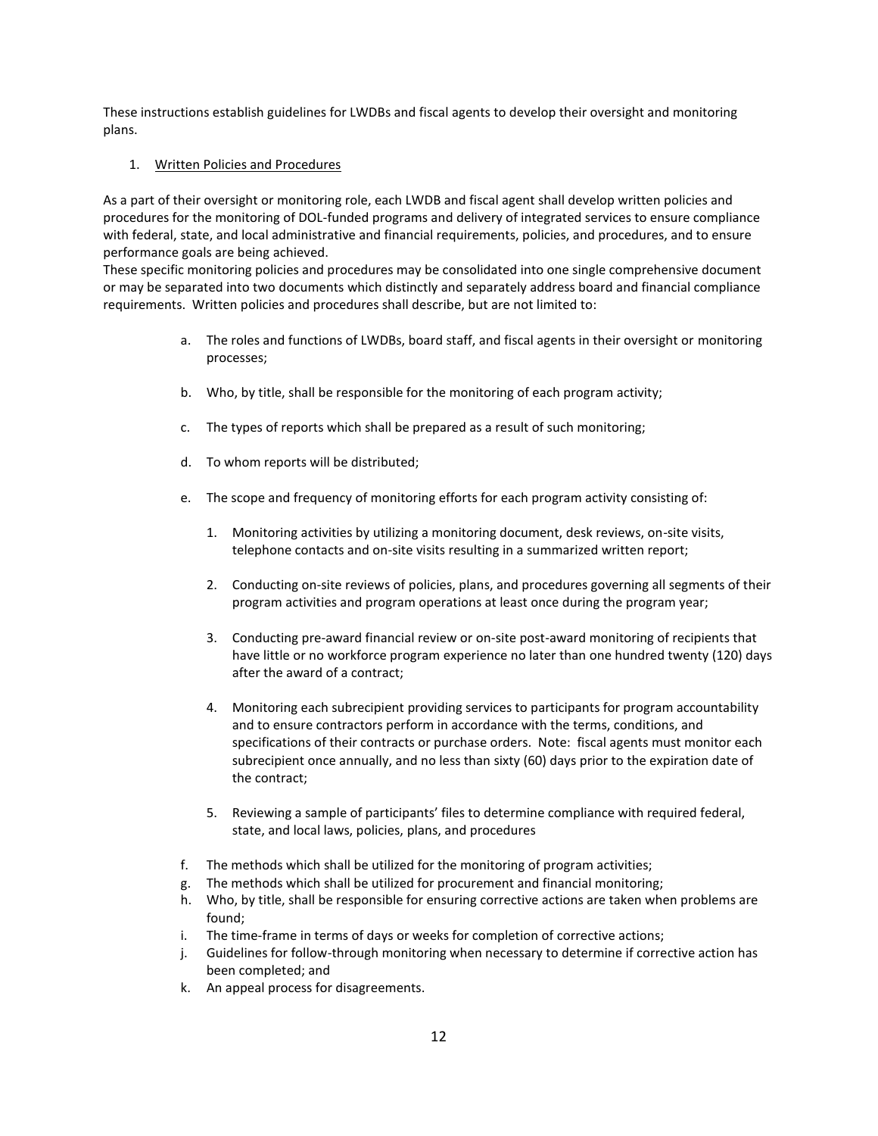These instructions establish guidelines for LWDBs and fiscal agents to develop their oversight and monitoring plans.

## 1. Written Policies and Procedures

As a part of their oversight or monitoring role, each LWDB and fiscal agent shall develop written policies and procedures for the monitoring of DOL-funded programs and delivery of integrated services to ensure compliance with federal, state, and local administrative and financial requirements, policies, and procedures, and to ensure performance goals are being achieved.

These specific monitoring policies and procedures may be consolidated into one single comprehensive document or may be separated into two documents which distinctly and separately address board and financial compliance requirements. Written policies and procedures shall describe, but are not limited to:

- a. The roles and functions of LWDBs, board staff, and fiscal agents in their oversight or monitoring processes;
- b. Who, by title, shall be responsible for the monitoring of each program activity;
- c. The types of reports which shall be prepared as a result of such monitoring;
- d. To whom reports will be distributed;
- e. The scope and frequency of monitoring efforts for each program activity consisting of:
	- 1. Monitoring activities by utilizing a monitoring document, desk reviews, on-site visits, telephone contacts and on-site visits resulting in a summarized written report;
	- 2. Conducting on-site reviews of policies, plans, and procedures governing all segments of their program activities and program operations at least once during the program year;
	- 3. Conducting pre-award financial review or on-site post-award monitoring of recipients that have little or no workforce program experience no later than one hundred twenty (120) days after the award of a contract;
	- 4. Monitoring each subrecipient providing services to participants for program accountability and to ensure contractors perform in accordance with the terms, conditions, and specifications of their contracts or purchase orders. Note: fiscal agents must monitor each subrecipient once annually, and no less than sixty (60) days prior to the expiration date of the contract;
	- 5. Reviewing a sample of participants' files to determine compliance with required federal, state, and local laws, policies, plans, and procedures
- f. The methods which shall be utilized for the monitoring of program activities;
- g. The methods which shall be utilized for procurement and financial monitoring;
- h. Who, by title, shall be responsible for ensuring corrective actions are taken when problems are found;
- i. The time-frame in terms of days or weeks for completion of corrective actions;
- j. Guidelines for follow-through monitoring when necessary to determine if corrective action has been completed; and
- k. An appeal process for disagreements.